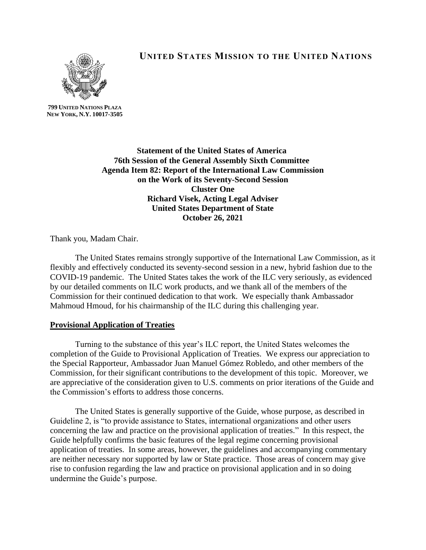

**UNITED STATES MISSION TO THE UNITED NATIONS**

**799 UNITED NATIONS PLAZA NEW YORK, N.Y. 10017-3505**

> **Statement of the United States of America 76th Session of the General Assembly Sixth Committee Agenda Item 82: Report of the International Law Commission on the Work of its Seventy-Second Session Cluster One Richard Visek, Acting Legal Adviser United States Department of State October 26, 2021**

Thank you, Madam Chair.

The United States remains strongly supportive of the International Law Commission, as it flexibly and effectively conducted its seventy-second session in a new, hybrid fashion due to the COVID-19 pandemic. The United States takes the work of the ILC very seriously, as evidenced by our detailed comments on ILC work products, and we thank all of the members of the Commission for their continued dedication to that work. We especially thank Ambassador Mahmoud Hmoud, for his chairmanship of the ILC during this challenging year.

## **Provisional Application of Treaties**

Turning to the substance of this year's ILC report, the United States welcomes the completion of the Guide to Provisional Application of Treaties. We express our appreciation to the Special Rapporteur, Ambassador Juan Manuel Gómez Robledo, and other members of the Commission, for their significant contributions to the development of this topic. Moreover, we are appreciative of the consideration given to U.S. comments on prior iterations of the Guide and the Commission's efforts to address those concerns.

The United States is generally supportive of the Guide, whose purpose, as described in Guideline 2, is "to provide assistance to States, international organizations and other users concerning the law and practice on the provisional application of treaties." In this respect, the Guide helpfully confirms the basic features of the legal regime concerning provisional application of treaties. In some areas, however, the guidelines and accompanying commentary are neither necessary nor supported by law or State practice. Those areas of concern may give rise to confusion regarding the law and practice on provisional application and in so doing undermine the Guide's purpose.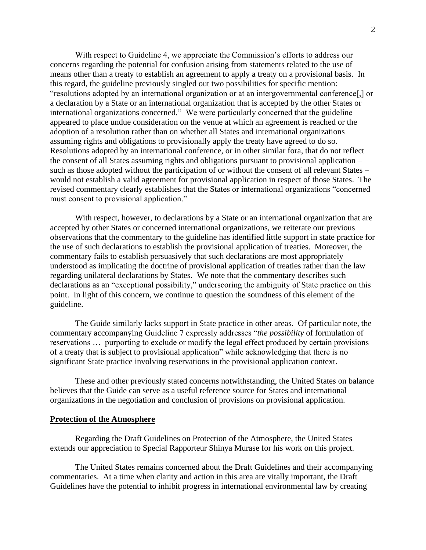With respect to Guideline 4, we appreciate the Commission's efforts to address our concerns regarding the potential for confusion arising from statements related to the use of means other than a treaty to establish an agreement to apply a treaty on a provisional basis. In this regard, the guideline previously singled out two possibilities for specific mention: "resolutions adopted by an international organization or at an intergovernmental conference[,] or a declaration by a State or an international organization that is accepted by the other States or international organizations concerned." We were particularly concerned that the guideline appeared to place undue consideration on the venue at which an agreement is reached or the adoption of a resolution rather than on whether all States and international organizations assuming rights and obligations to provisionally apply the treaty have agreed to do so. Resolutions adopted by an international conference, or in other similar fora, that do not reflect the consent of all States assuming rights and obligations pursuant to provisional application – such as those adopted without the participation of or without the consent of all relevant States – would not establish a valid agreement for provisional application in respect of those States. The revised commentary clearly establishes that the States or international organizations "concerned must consent to provisional application."

With respect, however, to declarations by a State or an international organization that are accepted by other States or concerned international organizations, we reiterate our previous observations that the commentary to the guideline has identified little support in state practice for the use of such declarations to establish the provisional application of treaties. Moreover, the commentary fails to establish persuasively that such declarations are most appropriately understood as implicating the doctrine of provisional application of treaties rather than the law regarding unilateral declarations by States. We note that the commentary describes such declarations as an "exceptional possibility," underscoring the ambiguity of State practice on this point. In light of this concern, we continue to question the soundness of this element of the guideline.

The Guide similarly lacks support in State practice in other areas. Of particular note, the commentary accompanying Guideline 7 expressly addresses "*the possibility* of formulation of reservations … purporting to exclude or modify the legal effect produced by certain provisions of a treaty that is subject to provisional application" while acknowledging that there is no significant State practice involving reservations in the provisional application context.

These and other previously stated concerns notwithstanding, the United States on balance believes that the Guide can serve as a useful reference source for States and international organizations in the negotiation and conclusion of provisions on provisional application.

## **Protection of the Atmosphere**

Regarding the Draft Guidelines on Protection of the Atmosphere, the United States extends our appreciation to Special Rapporteur Shinya Murase for his work on this project.

The United States remains concerned about the Draft Guidelines and their accompanying commentaries. At a time when clarity and action in this area are vitally important, the Draft Guidelines have the potential to inhibit progress in international environmental law by creating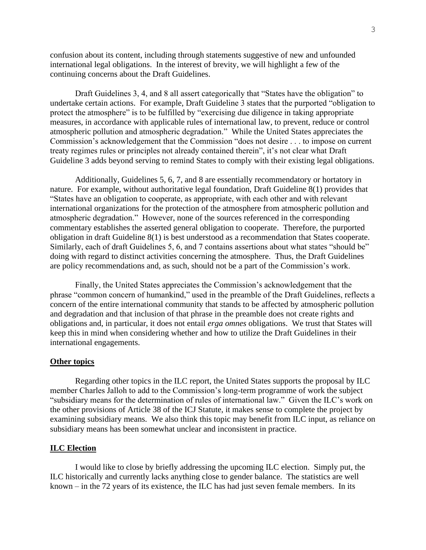confusion about its content, including through statements suggestive of new and unfounded international legal obligations. In the interest of brevity, we will highlight a few of the continuing concerns about the Draft Guidelines.

Draft Guidelines 3, 4, and 8 all assert categorically that "States have the obligation" to undertake certain actions. For example, Draft Guideline 3 states that the purported "obligation to protect the atmosphere" is to be fulfilled by "exercising due diligence in taking appropriate measures, in accordance with applicable rules of international law, to prevent, reduce or control atmospheric pollution and atmospheric degradation." While the United States appreciates the Commission's acknowledgement that the Commission "does not desire . . . to impose on current treaty regimes rules or principles not already contained therein", it's not clear what Draft Guideline 3 adds beyond serving to remind States to comply with their existing legal obligations.

Additionally, Guidelines 5, 6, 7, and 8 are essentially recommendatory or hortatory in nature. For example, without authoritative legal foundation, Draft Guideline 8(1) provides that "States have an obligation to cooperate, as appropriate, with each other and with relevant international organizations for the protection of the atmosphere from atmospheric pollution and atmospheric degradation." However, none of the sources referenced in the corresponding commentary establishes the asserted general obligation to cooperate. Therefore, the purported obligation in draft Guideline 8(1) is best understood as a recommendation that States cooperate. Similarly, each of draft Guidelines 5, 6, and 7 contains assertions about what states "should be" doing with regard to distinct activities concerning the atmosphere. Thus, the Draft Guidelines are policy recommendations and, as such, should not be a part of the Commission's work.

Finally, the United States appreciates the Commission's acknowledgement that the phrase "common concern of humankind," used in the preamble of the Draft Guidelines, reflects a concern of the entire international community that stands to be affected by atmospheric pollution and degradation and that inclusion of that phrase in the preamble does not create rights and obligations and, in particular, it does not entail *erga omnes* obligations. We trust that States will keep this in mind when considering whether and how to utilize the Draft Guidelines in their international engagements.

## **Other topics**

Regarding other topics in the ILC report, the United States supports the proposal by ILC member Charles Jalloh to add to the Commission's long-term programme of work the subject "subsidiary means for the determination of rules of international law." Given the ILC's work on the other provisions of Article 38 of the ICJ Statute, it makes sense to complete the project by examining subsidiary means. We also think this topic may benefit from ILC input, as reliance on subsidiary means has been somewhat unclear and inconsistent in practice.

## **ILC Election**

I would like to close by briefly addressing the upcoming ILC election. Simply put, the ILC historically and currently lacks anything close to gender balance. The statistics are well known – in the 72 years of its existence, the ILC has had just seven female members. In its